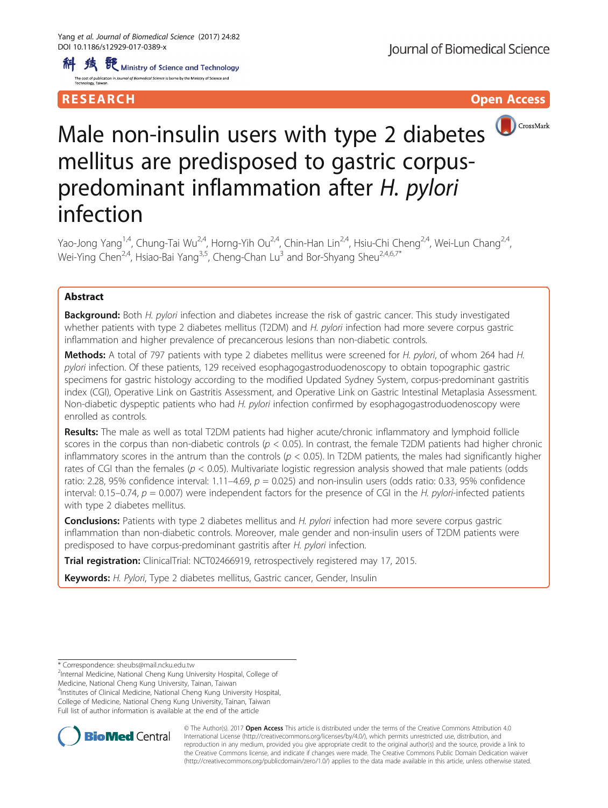科 线 <sup>{</sup> { b} winistry of Science and Technology The cost of publication in Journal of Biomedical Science is borne by the Mi

## **RESEARCH CHINESE ARCH CHINESE ARCH CHINESE ARCH <b>CHINESE ARCH CHINESE ARCH CHINESE ARCH <b>CHINESE** ARCH **CHINESE ARCH** CHINESE ARCH **CHINESE ARCH** CHINESE ARCH **CHINESE ARCH 2014**



# Male non-insulin users with type 2 diabetes mellitus are predisposed to gastric corpuspredominant inflammation after H. pylori infection

Yao-Jong Yang<sup>1,4</sup>, Chung-Tai Wu<sup>2,4</sup>, Horng-Yih Ou<sup>2,4</sup>, Chin-Han Lin<sup>2,4</sup>, Hsiu-Chi Cheng<sup>2,4</sup>, Wei-Lun Chang<sup>2,4</sup>, Wei-Ying Chen<sup>2,4</sup>, Hsiao-Bai Yang<sup>3,5</sup>, Cheng-Chan Lu<sup>3</sup> and Bor-Shyang Sheu<sup>2,4,6,7\*</sup>

## Abstract

Background: Both H. pylori infection and diabetes increase the risk of gastric cancer. This study investigated whether patients with type 2 diabetes mellitus (T2DM) and H. pylori infection had more severe corpus gastric inflammation and higher prevalence of precancerous lesions than non-diabetic controls.

Methods: A total of 797 patients with type 2 diabetes mellitus were screened for H. pylori, of whom 264 had H. pylori infection. Of these patients, 129 received esophagogastroduodenoscopy to obtain topographic gastric specimens for gastric histology according to the modified Updated Sydney System, corpus-predominant gastritis index (CGI), Operative Link on Gastritis Assessment, and Operative Link on Gastric Intestinal Metaplasia Assessment. Non-diabetic dyspeptic patients who had H. pylori infection confirmed by esophagogastroduodenoscopy were enrolled as controls.

Results: The male as well as total T2DM patients had higher acute/chronic inflammatory and lymphoid follicle scores in the corpus than non-diabetic controls ( $p < 0.05$ ). In contrast, the female T2DM patients had higher chronic inflammatory scores in the antrum than the controls ( $p < 0.05$ ). In T2DM patients, the males had significantly higher rates of CGI than the females ( $p < 0.05$ ). Multivariate logistic regression analysis showed that male patients (odds ratio: 2.28, 95% confidence interval: 1.11–4.69,  $p = 0.025$ ) and non-insulin users (odds ratio: 0.33, 95% confidence interval: 0.15–0.74,  $p = 0.007$ ) were independent factors for the presence of CGI in the H. pylori-infected patients with type 2 diabetes mellitus.

**Conclusions:** Patients with type 2 diabetes mellitus and H. pylori infection had more severe corpus gastric inflammation than non-diabetic controls. Moreover, male gender and non-insulin users of T2DM patients were predisposed to have corpus-predominant gastritis after H. pylori infection.

**Trial registration:** ClinicalTrial: [NCT02466919](https://clinicaltrials.gov/ct2/results?cond=&term=NCT02466919&cntry1=&state1=&recrs=), retrospectively registered may 17, 2015.

Keywords: H. Pylori, Type 2 diabetes mellitus, Gastric cancer, Gender, Insulin

Internal Medicine, National Cheng Kung University Hospital, College of

Medicine, National Cheng Kung University, Tainan, Taiwan

4 Institutes of Clinical Medicine, National Cheng Kung University Hospital, College of Medicine, National Cheng Kung University, Tainan, Taiwan

Full list of author information is available at the end of the article



© The Author(s). 2017 **Open Access** This article is distributed under the terms of the Creative Commons Attribution 4.0 International License [\(http://creativecommons.org/licenses/by/4.0/](http://creativecommons.org/licenses/by/4.0/)), which permits unrestricted use, distribution, and reproduction in any medium, provided you give appropriate credit to the original author(s) and the source, provide a link to the Creative Commons license, and indicate if changes were made. The Creative Commons Public Domain Dedication waiver [\(http://creativecommons.org/publicdomain/zero/1.0/](http://creativecommons.org/publicdomain/zero/1.0/)) applies to the data made available in this article, unless otherwise stated.

<sup>\*</sup> Correspondence: [sheubs@mail.ncku.edu.tw](mailto:sheubs@mail.ncku.edu.tw) <sup>2</sup>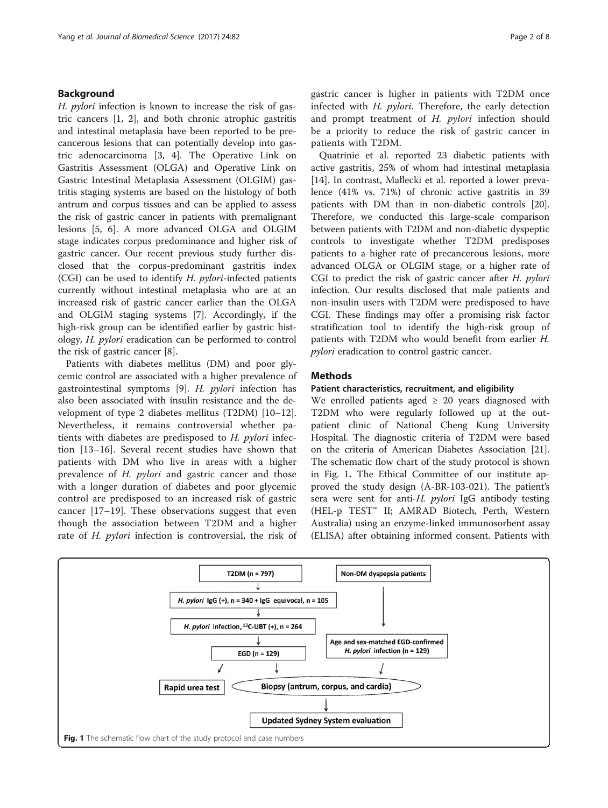## <span id="page-1-0"></span>Background

H. pylori infection is known to increase the risk of gastric cancers [[1, 2\]](#page-6-0), and both chronic atrophic gastritis and intestinal metaplasia have been reported to be precancerous lesions that can potentially develop into gastric adenocarcinoma [\[3](#page-6-0), [4](#page-6-0)]. The Operative Link on Gastritis Assessment (OLGA) and Operative Link on Gastric Intestinal Metaplasia Assessment (OLGIM) gastritis staging systems are based on the histology of both antrum and corpus tissues and can be applied to assess the risk of gastric cancer in patients with premalignant lesions [\[5, 6](#page-6-0)]. A more advanced OLGA and OLGIM stage indicates corpus predominance and higher risk of gastric cancer. Our recent previous study further disclosed that the corpus-predominant gastritis index (CGI) can be used to identify H. pylori-infected patients currently without intestinal metaplasia who are at an increased risk of gastric cancer earlier than the OLGA and OLGIM staging systems [\[7](#page-6-0)]. Accordingly, if the high-risk group can be identified earlier by gastric histology, H. pylori eradication can be performed to control the risk of gastric cancer [[8\]](#page-6-0).

Patients with diabetes mellitus (DM) and poor glycemic control are associated with a higher prevalence of gastrointestinal symptoms [\[9](#page-6-0)]. H. pylori infection has also been associated with insulin resistance and the development of type 2 diabetes mellitus (T2DM) [[10](#page-6-0)–[12](#page-6-0)]. Nevertheless, it remains controversial whether patients with diabetes are predisposed to H. pylori infection [[13](#page-6-0)–[16\]](#page-6-0). Several recent studies have shown that patients with DM who live in areas with a higher prevalence of H. pylori and gastric cancer and those with a longer duration of diabetes and poor glycemic control are predisposed to an increased risk of gastric cancer [[17](#page-6-0)–[19\]](#page-6-0). These observations suggest that even though the association between T2DM and a higher rate of H. pylori infection is controversial, the risk of gastric cancer is higher in patients with T2DM once infected with  $H.$   $pylori.$  Therefore, the early detection and prompt treatment of H. *pylori* infection should be a priority to reduce the risk of gastric cancer in patients with T2DM.

Quatrinie et al. reported 23 diabetic patients with active gastritis, 25% of whom had intestinal metaplasia [[14\]](#page-6-0). In contrast, Małlecki et al. reported a lower prevalence (41% vs. 71%) of chronic active gastritis in 39 patients with DM than in non-diabetic controls [\[20](#page-6-0)]. Therefore, we conducted this large-scale comparison between patients with T2DM and non-diabetic dyspeptic controls to investigate whether T2DM predisposes patients to a higher rate of precancerous lesions, more advanced OLGA or OLGIM stage, or a higher rate of CGI to predict the risk of gastric cancer after H. pylori infection. Our results disclosed that male patients and non-insulin users with T2DM were predisposed to have CGI. These findings may offer a promising risk factor stratification tool to identify the high-risk group of patients with T2DM who would benefit from earlier H. pylori eradication to control gastric cancer.

#### Methods

#### Patient characteristics, recruitment, and eligibility

We enrolled patients aged  $\geq$  20 years diagnosed with T2DM who were regularly followed up at the outpatient clinic of National Cheng Kung University Hospital. The diagnostic criteria of T2DM were based on the criteria of American Diabetes Association [\[21](#page-6-0)]. The schematic flow chart of the study protocol is shown in Fig. 1. The Ethical Committee of our institute approved the study design (A-BR-103-021). The patient's sera were sent for anti-H. *pylori* IgG antibody testing (HEL-p TEST™ II; AMRAD Biotech, Perth, Western Australia) using an enzyme-linked immunosorbent assay (ELISA) after obtaining informed consent. Patients with

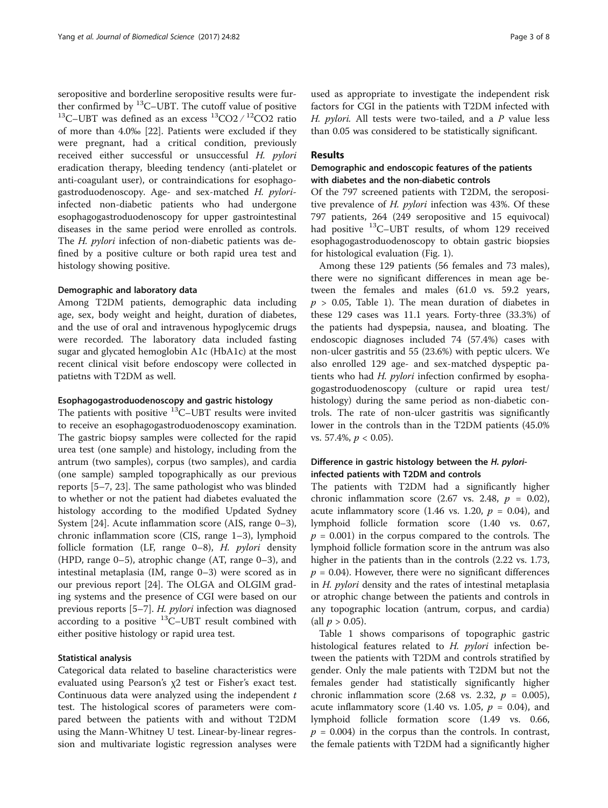seropositive and borderline seropositive results were further confirmed by <sup>13</sup>C–UBT. The cutoff value of positive <sup>13</sup>C–UBT was defined as an excess <sup>13</sup>CO2 */* <sup>12</sup>CO2 ratio of more than 4.0‰ [\[22\]](#page-6-0). Patients were excluded if they were pregnant, had a critical condition, previously received either successful or unsuccessful H. pylori eradication therapy, bleeding tendency (anti-platelet or anti-coagulant user), or contraindications for esophagogastroduodenoscopy. Age- and sex-matched H. pyloriinfected non-diabetic patients who had undergone esophagogastroduodenoscopy for upper gastrointestinal diseases in the same period were enrolled as controls. The H. pylori infection of non-diabetic patients was defined by a positive culture or both rapid urea test and histology showing positive.

#### Demographic and laboratory data

Among T2DM patients, demographic data including age, sex, body weight and height, duration of diabetes, and the use of oral and intravenous hypoglycemic drugs were recorded. The laboratory data included fasting sugar and glycated hemoglobin A1c (HbA1c) at the most recent clinical visit before endoscopy were collected in patietns with T2DM as well.

#### Esophagogastroduodenoscopy and gastric histology

The patients with positive  $^{13}$ C–UBT results were invited to receive an esophagogastroduodenoscopy examination. The gastric biopsy samples were collected for the rapid urea test (one sample) and histology, including from the antrum (two samples), corpus (two samples), and cardia (one sample) sampled topographically as our previous reports [[5](#page-6-0)–[7, 23\]](#page-6-0). The same pathologist who was blinded to whether or not the patient had diabetes evaluated the histology according to the modified Updated Sydney System [[24\]](#page-6-0). Acute inflammation score (AIS, range 0–3), chronic inflammation score (CIS, range 1–3), lymphoid follicle formation (LF, range 0–8), H. pylori density (HPD, range 0–5), atrophic change (AT, range 0–3), and intestinal metaplasia (IM, range 0–3) were scored as in our previous report [[24](#page-6-0)]. The OLGA and OLGIM grading systems and the presence of CGI were based on our previous reports [[5](#page-6-0)–[7](#page-6-0)]. H. pylori infection was diagnosed according to a positive  $^{13}$ C–UBT result combined with either positive histology or rapid urea test.

#### Statistical analysis

Categorical data related to baseline characteristics were evaluated using Pearson's χ2 test or Fisher's exact test. Continuous data were analyzed using the independent  $t$ test. The histological scores of parameters were compared between the patients with and without T2DM using the Mann-Whitney U test. Linear-by-linear regression and multivariate logistic regression analyses were

used as appropriate to investigate the independent risk factors for CGI in the patients with T2DM infected with H. *pylori*. All tests were two-tailed, and a  $P$  value less than 0.05 was considered to be statistically significant.

### Results

## Demographic and endoscopic features of the patients with diabetes and the non-diabetic controls

Of the 797 screened patients with T2DM, the seropositive prevalence of H. pylori infection was 43%. Of these 797 patients, 264 (249 seropositive and 15 equivocal) had positive <sup>13</sup>C–UBT results, of whom 129 received esophagogastroduodenoscopy to obtain gastric biopsies for histological evaluation (Fig. [1\)](#page-1-0).

Among these 129 patients (56 females and 73 males), there were no significant differences in mean age between the females and males (61.0 vs. 59.2 years,  $p > 0.05$ , Table [1\)](#page-3-0). The mean duration of diabetes in these 129 cases was 11.1 years. Forty-three (33.3%) of the patients had dyspepsia, nausea, and bloating. The endoscopic diagnoses included 74 (57.4%) cases with non-ulcer gastritis and 55 (23.6%) with peptic ulcers. We also enrolled 129 age- and sex-matched dyspeptic patients who had H. *pylori* infection confirmed by esophagogastroduodenoscopy (culture or rapid urea test/ histology) during the same period as non-diabetic controls. The rate of non-ulcer gastritis was significantly lower in the controls than in the T2DM patients (45.0% vs. 57.4%,  $p < 0.05$ ).

## Difference in gastric histology between the H. pyloriinfected patients with T2DM and controls

The patients with T2DM had a significantly higher chronic inflammation score (2.67 vs. 2.48,  $p = 0.02$ ), acute inflammatory score (1.46 vs. 1.20,  $p = 0.04$ ), and lymphoid follicle formation score (1.40 vs. 0.67,  $p = 0.001$ ) in the corpus compared to the controls. The lymphoid follicle formation score in the antrum was also higher in the patients than in the controls (2.22 vs. 1.73,  $p = 0.04$ ). However, there were no significant differences in H. pylori density and the rates of intestinal metaplasia or atrophic change between the patients and controls in any topographic location (antrum, corpus, and cardia) (all  $p > 0.05$ ).

Table [1](#page-3-0) shows comparisons of topographic gastric histological features related to H. pylori infection between the patients with T2DM and controls stratified by gender. Only the male patients with T2DM but not the females gender had statistically significantly higher chronic inflammation score (2.68 vs. 2.32,  $p = 0.005$ ), acute inflammatory score (1.40 vs. 1.05,  $p = 0.04$ ), and lymphoid follicle formation score (1.49 vs. 0.66,  $p = 0.004$ ) in the corpus than the controls. In contrast, the female patients with T2DM had a significantly higher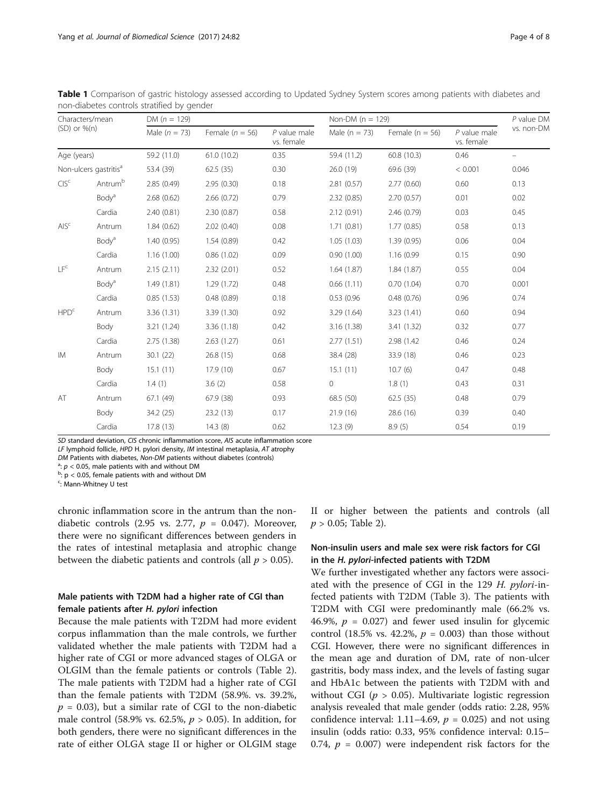| Characters/mean<br>$(SD)$ or $%$ (n)<br>Age (years)<br>Non-ulcers gastritis <sup>a</sup> |                   | DM $(n = 129)$           |                                               |                                              | Non-DM ( $n = 129$ )                       |                                              |                                                 | $P$ value $DM$                                  |
|------------------------------------------------------------------------------------------|-------------------|--------------------------|-----------------------------------------------|----------------------------------------------|--------------------------------------------|----------------------------------------------|-------------------------------------------------|-------------------------------------------------|
|                                                                                          |                   | Male $(n = 73)$          | Female ( $n = 56$ )<br>61.0(10.2)<br>62.5(35) | $P$ value male<br>vs. female<br>0.35<br>0.30 | Male $(n = 73)$<br>59.4 (11.2)<br>26.0(19) | Female $(n = 56)$<br>60.8(10.3)<br>69.6 (39) | $P$ value male<br>vs. female<br>0.46<br>< 0.001 | vs. non-DM<br>$\overline{\phantom{0}}$<br>0.046 |
|                                                                                          |                   | 59.2 (11.0)<br>53.4 (39) |                                               |                                              |                                            |                                              |                                                 |                                                 |
|                                                                                          |                   |                          |                                               |                                              |                                            |                                              |                                                 |                                                 |
|                                                                                          | Body <sup>a</sup> | 2.68(0.62)               | 2.66(0.72)                                    | 0.79                                         | 2.32(0.85)                                 | 2.70(0.57)                                   | 0.01                                            | 0.02                                            |
|                                                                                          | Cardia            | 2.40(0.81)               | 2.30(0.87)                                    | 0.58                                         | 2.12(0.91)                                 | 2.46(0.79)                                   | 0.03                                            | 0.45                                            |
| AIS <sup>c</sup>                                                                         | Antrum            | 1.84(0.62)               | 2.02(0.40)                                    | 0.08                                         | 1.71(0.81)                                 | 1.77(0.85)                                   | 0.58                                            | 0.13                                            |
|                                                                                          | Body <sup>a</sup> | 1.40(0.95)               | 1.54(0.89)                                    | 0.42                                         | 1.05(1.03)                                 | 1.39(0.95)                                   | 0.06                                            | 0.04                                            |
|                                                                                          | Cardia            | 1.16(1.00)               | 0.86(1.02)                                    | 0.09                                         | 0.90(1.00)                                 | 1.16 (0.99                                   | 0.15                                            | 0.90                                            |
| IF <sup>c</sup>                                                                          | Antrum            | 2.15(2.11)               | 2.32(2.01)                                    | 0.52                                         | 1.64(1.87)                                 | 1.84(1.87)                                   | 0.55                                            | 0.04                                            |
|                                                                                          | Body <sup>a</sup> | 1.49(1.81)               | 1.29(1.72)                                    | 0.48                                         | 0.66(1.11)                                 | 0.70(1.04)                                   | 0.70                                            | 0.001                                           |
|                                                                                          | Cardia            | 0.85(1.53)               | 0.48(0.89)                                    | 0.18                                         | 0.53(0.96)                                 | 0.48(0.76)                                   | 0.96                                            | 0.74                                            |
| HPD <sup>c</sup>                                                                         | Antrum            | 3.36(1.31)               | 3.39 (1.30)                                   | 0.92                                         | 3.29(1.64)                                 | 3.23(1.41)                                   | 0.60                                            | 0.94                                            |
|                                                                                          | Body              | 3.21(1.24)               | 3.36(1.18)                                    | 0.42                                         | 3.16(1.38)                                 | 3.41(1.32)                                   | 0.32                                            | 0.77                                            |
|                                                                                          | Cardia            | 2.75(1.38)               | 2.63(1.27)                                    | 0.61                                         | 2.77(1.51)                                 | 2.98 (1.42)                                  | 0.46                                            | 0.24                                            |
| <b>IM</b>                                                                                | Antrum            | 30.1(22)                 | 26.8(15)                                      | 0.68                                         | 38.4 (28)                                  | 33.9 (18)                                    | 0.46                                            | 0.23                                            |
|                                                                                          | Body              | 15.1(11)                 | 17.9(10)                                      | 0.67                                         | 15.1(11)                                   | 10.7(6)                                      | 0.47                                            | 0.48                                            |
|                                                                                          | Cardia            | 1.4(1)                   | 3.6(2)                                        | 0.58                                         | $\mathbf{0}$                               | 1.8(1)                                       | 0.43                                            | 0.31                                            |
| AT                                                                                       | Antrum            | 67.1 (49)                | 67.9 (38)                                     | 0.93                                         | 68.5 (50)                                  | 62.5(35)                                     | 0.48                                            | 0.79                                            |
|                                                                                          | Body              | 34.2 (25)                | 23.2(13)                                      | 0.17                                         | 21.9(16)                                   | 28.6 (16)                                    | 0.39                                            | 0.40                                            |
|                                                                                          | Cardia            | 17.8(13)                 | 14.3(8)                                       | 0.62                                         | 12.3(9)                                    | 8.9(5)                                       | 0.54                                            | 0.19                                            |

<span id="page-3-0"></span>Table 1 Comparison of gastric histology assessed according to Updated Sydney System scores among patients with diabetes and non-diabetes controls stratified by gender

SD standard deviation, CIS chronic inflammation score, AIS acute inflammation score

LF lymphoid follicle, HPD H. pylori density, IM intestinal metaplasia, AT atrophy

*DM* Patients with diabetes, *Non-DM* patients without diabetes (controls)  $a$ :  $p < 0.05$ , male patients with and without DM

<sup>a</sup>:  $p < 0.05$ , male patients with and without DM<br><sup>b</sup>:  $p < 0.05$ , female patients with and without DM

<sup>c</sup>: Mann-Whitney U test

chronic inflammation score in the antrum than the nondiabetic controls (2.95 vs. 2.77,  $p = 0.047$ ). Moreover, there were no significant differences between genders in the rates of intestinal metaplasia and atrophic change between the diabetic patients and controls (all  $p > 0.05$ ).

## Male patients with T2DM had a higher rate of CGI than female patients after H. pylori infection

Because the male patients with T2DM had more evident corpus inflammation than the male controls, we further validated whether the male patients with T2DM had a higher rate of CGI or more advanced stages of OLGA or OLGIM than the female patients or controls (Table [2](#page-4-0)). The male patients with T2DM had a higher rate of CGI than the female patients with T2DM (58.9%. vs. 39.2%,  $p = 0.03$ ), but a similar rate of CGI to the non-diabetic male control (58.9% vs. 62.5%,  $p > 0.05$ ). In addition, for both genders, there were no significant differences in the rate of either OLGA stage II or higher or OLGIM stage

II or higher between the patients and controls (all  $p > 0.05$ ; Table [2\)](#page-4-0).

## Non-insulin users and male sex were risk factors for CGI in the H. pylori-infected patients with T2DM

We further investigated whether any factors were associated with the presence of CGI in the 129 H. pylori-infected patients with T2DM (Table [3\)](#page-4-0). The patients with T2DM with CGI were predominantly male (66.2% vs. 46.9%,  $p = 0.027$  and fewer used insulin for glycemic control (18.5% vs. 42.2%,  $p = 0.003$ ) than those without CGI. However, there were no significant differences in the mean age and duration of DM, rate of non-ulcer gastritis, body mass index, and the levels of fasting sugar and HbA1c between the patients with T2DM with and without CGI ( $p > 0.05$ ). Multivariate logistic regression analysis revealed that male gender (odds ratio: 2.28, 95% confidence interval: 1.11–4.69,  $p = 0.025$ ) and not using insulin (odds ratio: 0.33, 95% confidence interval: 0.15– 0.74,  $p = 0.007$ ) were independent risk factors for the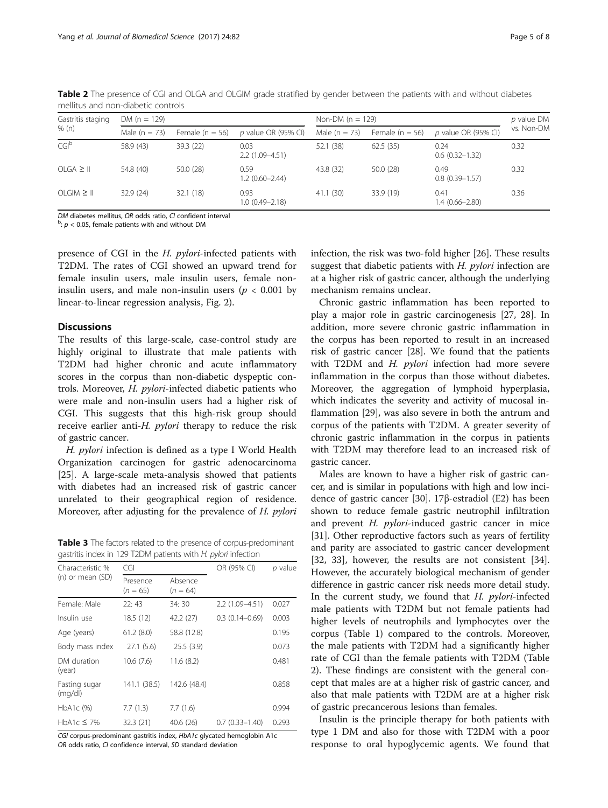| Gastritis staging | DM ( $n = 129$ ) |                   |                            | Non-DM $(n = 129)$ | p value DM          |                            |            |
|-------------------|------------------|-------------------|----------------------------|--------------------|---------------------|----------------------------|------------|
| % (n)             | Male $(n = 73)$  | Female $(n = 56)$ | p value OR (95% CI)        | Male $(n = 73)$    | Female ( $n = 56$ ) | $p$ value OR (95% CI)      | vs. Non-DM |
| CG <sup>b</sup>   | 58.9 (43)        | 39.3(22)          | 0.03<br>$2.2(1.09 - 4.51)$ | 52.1 (38)          | 62.5(35)            | 0.24<br>$0.6(0.32 - 1.32)$ | 0.32       |
| $OLGA \geq   $    | 54.8 (40)        | 50.0(28)          | 0.59<br>$1.2(0.60 - 2.44)$ | 43.8 (32)          | 50.0(28)            | 0.49<br>$0.8(0.39 - 1.57)$ | 0.32       |
| $OLGIM \geq   $   | 32.9(24)         | 32.1(18)          | 0.93<br>$1.0(0.49 - 2.18)$ | 41.1 (30)          | 33.9 (19)           | 0.41<br>$1.4(0.66 - 2.80)$ | 0.36       |

<span id="page-4-0"></span>Table 2 The presence of CGI and OLGA and OLGIM grade stratified by gender between the patients with and without diabetes mellitus and non-diabetic controls

DM diabetes mellitus, OR odds ratio, CI confident interval

 $b$ :  $p$  < 0.05, female patients with and without DM

presence of CGI in the H. pylori-infected patients with T2DM. The rates of CGI showed an upward trend for female insulin users, male insulin users, female noninsulin users, and male non-insulin users ( $p < 0.001$  by linear-to-linear regression analysis, Fig. [2](#page-5-0)).

#### **Discussions**

The results of this large-scale, case-control study are highly original to illustrate that male patients with T2DM had higher chronic and acute inflammatory scores in the corpus than non-diabetic dyspeptic controls. Moreover, H. pylori-infected diabetic patients who were male and non-insulin users had a higher risk of CGI. This suggests that this high-risk group should receive earlier anti- $H$ . *pylori* therapy to reduce the risk of gastric cancer.

H. pylori infection is defined as a type I World Health Organization carcinogen for gastric adenocarcinoma [[25\]](#page-6-0). A large-scale meta-analysis showed that patients with diabetes had an increased risk of gastric cancer unrelated to their geographical region of residence. Moreover, after adjusting for the prevalence of H. pylori

Table 3 The factors related to the presence of corpus-predominant gastritis index in 129 T2DM patients with H. pylori infection

| Characteristic %        | CGI                    |                       | OR (95% CI)        | $p$ value |  |
|-------------------------|------------------------|-----------------------|--------------------|-----------|--|
| (n) or mean (SD)        | Presence<br>$(n = 65)$ | Absence<br>$(n = 64)$ |                    |           |  |
| Female: Male            | 22:43                  | 34: 30                | 2.2 (1.09-4.51)    | 0.027     |  |
| Insulin use             | 18.5 (12)              | 42.2 (27)             | $0.3(0.14 - 0.69)$ | 0.003     |  |
| Age (years)             | 61.2(8.0)              | 58.8 (12.8)           |                    | 0.195     |  |
| Body mass index         | 27.1(5.6)              | 25.5(3.9)             |                    | 0.073     |  |
| DM duration<br>(year)   | 10.6(7.6)              | 11.6(8.2)             |                    | 0.481     |  |
| Fasting sugar<br>(mq/d) | 141.1 (38.5)           | 142.6 (48.4)          |                    | 0.858     |  |
| $HbA1c$ (%)             | 7.7(1.3)               | 7.7(1.6)              |                    | 0.994     |  |
| HbA1c $\leq$ 7%         | 32.3 (21)              | 40.6(26)              | $0.7(0.33 - 1.40)$ | 0.293     |  |

CGI corpus-predominant gastritis index, HbA1c glycated hemoglobin A1c OR odds ratio, CI confidence interval, SD standard deviation

infection, the risk was two-fold higher [[26](#page-6-0)]. These results suggest that diabetic patients with  $H$ . *pylori* infection are at a higher risk of gastric cancer, although the underlying mechanism remains unclear.

Chronic gastric inflammation has been reported to play a major role in gastric carcinogenesis [[27, 28](#page-6-0)]. In addition, more severe chronic gastric inflammation in the corpus has been reported to result in an increased risk of gastric cancer [[28\]](#page-6-0). We found that the patients with T2DM and  $H.$   $pylori$  infection had more severe inflammation in the corpus than those without diabetes. Moreover, the aggregation of lymphoid hyperplasia, which indicates the severity and activity of mucosal inflammation [[29\]](#page-6-0), was also severe in both the antrum and corpus of the patients with T2DM. A greater severity of chronic gastric inflammation in the corpus in patients with T2DM may therefore lead to an increased risk of gastric cancer.

Males are known to have a higher risk of gastric cancer, and is similar in populations with high and low incidence of gastric cancer [[30\]](#page-6-0). 17β-estradiol (E2) has been shown to reduce female gastric neutrophil infiltration and prevent H. pylori-induced gastric cancer in mice [[31\]](#page-6-0). Other reproductive factors such as years of fertility and parity are associated to gastric cancer development [[32, 33\]](#page-6-0), however, the results are not consistent [\[34](#page-7-0)]. However, the accurately biological mechanism of gender difference in gastric cancer risk needs more detail study. In the current study, we found that H. pylori-infected male patients with T2DM but not female patients had higher levels of neutrophils and lymphocytes over the corpus (Table [1](#page-3-0)) compared to the controls. Moreover, the male patients with T2DM had a significantly higher rate of CGI than the female patients with T2DM (Table 2). These findings are consistent with the general concept that males are at a higher risk of gastric cancer, and also that male patients with T2DM are at a higher risk of gastric precancerous lesions than females.

Insulin is the principle therapy for both patients with type 1 DM and also for those with T2DM with a poor response to oral hypoglycemic agents. We found that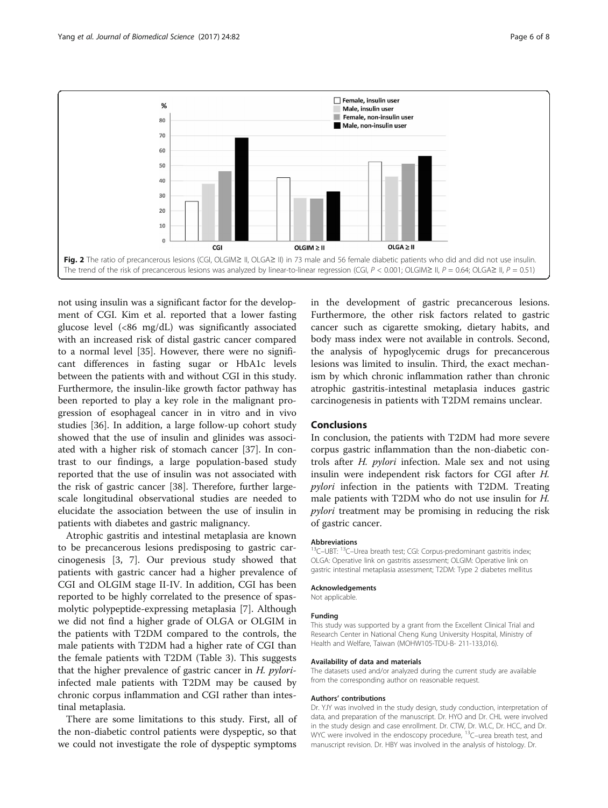<span id="page-5-0"></span>

not using insulin was a significant factor for the development of CGI. Kim et al. reported that a lower fasting glucose level (<86 mg/dL) was significantly associated with an increased risk of distal gastric cancer compared to a normal level [\[35](#page-7-0)]. However, there were no significant differences in fasting sugar or HbA1c levels between the patients with and without CGI in this study. Furthermore, the insulin-like growth factor pathway has been reported to play a key role in the malignant progression of esophageal cancer in in vitro and in vivo studies [[36\]](#page-7-0). In addition, a large follow-up cohort study showed that the use of insulin and glinides was associated with a higher risk of stomach cancer [\[37](#page-7-0)]. In contrast to our findings, a large population-based study reported that the use of insulin was not associated with the risk of gastric cancer [\[38](#page-7-0)]. Therefore, further largescale longitudinal observational studies are needed to elucidate the association between the use of insulin in patients with diabetes and gastric malignancy.

Atrophic gastritis and intestinal metaplasia are known to be precancerous lesions predisposing to gastric carcinogenesis [\[3, 7\]](#page-6-0). Our previous study showed that patients with gastric cancer had a higher prevalence of CGI and OLGIM stage II-IV. In addition, CGI has been reported to be highly correlated to the presence of spasmolytic polypeptide-expressing metaplasia [\[7](#page-6-0)]. Although we did not find a higher grade of OLGA or OLGIM in the patients with T2DM compared to the controls, the male patients with T2DM had a higher rate of CGI than the female patients with T2DM (Table [3\)](#page-4-0). This suggests that the higher prevalence of gastric cancer in  $H$ . *pylori*infected male patients with T2DM may be caused by chronic corpus inflammation and CGI rather than intestinal metaplasia.

There are some limitations to this study. First, all of the non-diabetic control patients were dyspeptic, so that we could not investigate the role of dyspeptic symptoms

in the development of gastric precancerous lesions. Furthermore, the other risk factors related to gastric cancer such as cigarette smoking, dietary habits, and body mass index were not available in controls. Second, the analysis of hypoglycemic drugs for precancerous lesions was limited to insulin. Third, the exact mechanism by which chronic inflammation rather than chronic atrophic gastritis-intestinal metaplasia induces gastric carcinogenesis in patients with T2DM remains unclear.

#### Conclusions

In conclusion, the patients with T2DM had more severe corpus gastric inflammation than the non-diabetic controls after H. pylori infection. Male sex and not using insulin were independent risk factors for CGI after H. pylori infection in the patients with T2DM. Treating male patients with T2DM who do not use insulin for H. pylori treatment may be promising in reducing the risk of gastric cancer.

#### Abbreviations

<sup>13</sup>C–UBT: <sup>13</sup>C–Urea breath test; CGI: Corpus-predominant gastritis index; OLGA: Operative link on gastritis assessment; OLGIM: Operative link on gastric intestinal metaplasia assessment; T2DM: Type 2 diabetes mellitus

#### Acknowledgements

Not applicable.

#### Funding

This study was supported by a grant from the Excellent Clinical Trial and Research Center in National Cheng Kung University Hospital, Ministry of Health and Welfare, Taiwan (MOHW105-TDU-B- 211-133,016).

#### Availability of data and materials

The datasets used and/or analyzed during the current study are available from the corresponding author on reasonable request.

#### Authors' contributions

Dr. YJY was involved in the study design, study conduction, interpretation of data, and preparation of the manuscript. Dr. HYO and Dr. CHL were involved in the study design and case enrollment. Dr. CTW, Dr. WLC, Dr. HCC, and Dr. WYC were involved in the endoscopy procedure, <sup>13</sup>C-urea breath test, and manuscript revision. Dr. HBY was involved in the analysis of histology. Dr.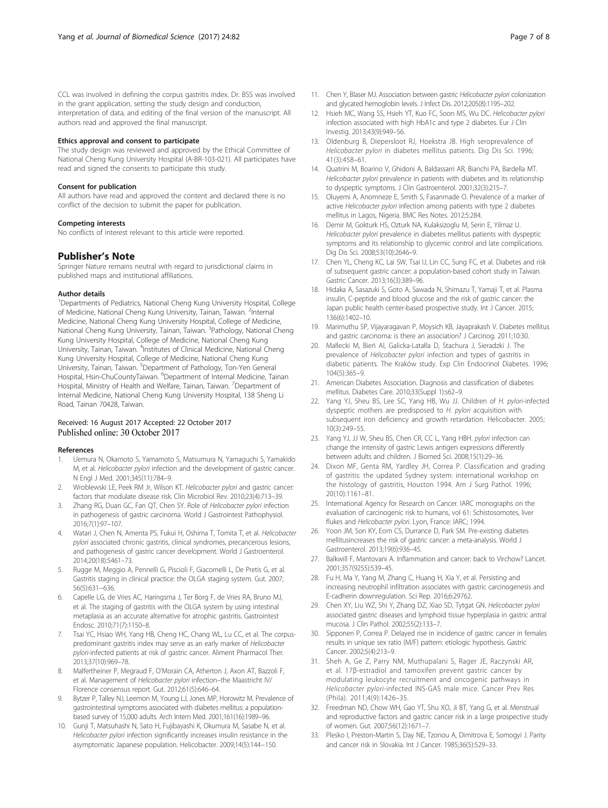<span id="page-6-0"></span>CCL was involved in defining the corpus gastritis index. Dr. BSS was involved in the grant application, setting the study design and conduction, interpretation of data, and editing of the final version of the manuscript. All authors read and approved the final manuscript.

#### Ethics approval and consent to participate

The study design was reviewed and approved by the Ethical Committee of National Cheng Kung University Hospital (A-BR-103-021). All participates have read and signed the consents to participate this study.

#### Consent for publication

All authors have read and approved the content and declared there is no conflict of the decision to submit the paper for publication.

#### Competing interests

No conflicts of interest relevant to this article were reported.

#### Publisher's Note

Springer Nature remains neutral with regard to jurisdictional claims in published maps and institutional affiliations.

#### Author details

<sup>1</sup>Departments of Pediatrics, National Cheng Kung University Hospital, College of Medicine, National Cheng Kung University, Tainan, Taiwan. <sup>2</sup>Internal Medicine, National Cheng Kung University Hospital, College of Medicine, National Cheng Kung University, Tainan, Taiwan. <sup>3</sup>Pathology, National Cheng Kung University Hospital, College of Medicine, National Cheng Kung University, Tainan, Taiwan. <sup>4</sup>Institutes of Clinical Medicine, National Cheng Kung University Hospital, College of Medicine, National Cheng Kung University, Tainan, Taiwan. <sup>5</sup>Department of Pathology, Ton-Yen General Hospital, Hsin-ChuCountyTaiwan. <sup>6</sup>Department of Internal Medicine, Tainan Hospital, Ministry of Health and Welfare, Tainan, Taiwan. <sup>7</sup>Department of Internal Medicine, National Cheng Kung University Hospital, 138 Sheng Li Road, Tainan 70428, Taiwan.

#### Received: 16 August 2017 Accepted: 22 October 2017 Published online: 30 October 2017

#### References

- 1. Uemura N, Okamoto S, Yamamoto S, Matsumura N, Yamaguchi S, Yamakido M, et al. Helicobacter pylori infection and the development of gastric cancer. N Engl J Med. 2001;345(11):784–9.
- 2. Wroblewski LE, Peek RM Jr, Wilson KT. Helicobacter pylori and gastric cancer: factors that modulate disease risk. Clin Microbiol Rev. 2010;23(4):713–39.
- Zhang RG, Duan GC, Fan QT, Chen SY. Role of Helicobacter pylori infection in pathogenesis of gastric carcinoma. World J Gastrointest Pathophysiol. 2016;7(1):97–107.
- 4. Watari J, Chen N, Amenta PS, Fukui H, Oshima T, Tomita T, et al. Helicobacter pylori associated chronic gastritis, clinical syndromes, precancerous lesions, and pathogenesis of gastric cancer development. World J Gastroenterol. 2014;20(18):5461–73.
- Rugge M, Meggio A, Pennelli G, Piscioli F, Giacomelli L, De Pretis G, et al. Gastritis staging in clinical practice: the OLGA staging system. Gut. 2007; 56(5):631−636.
- 6. Capelle LG, de Vries AC, Haringsma J, Ter Borg F, de Vries RA, Bruno MJ, et al. The staging of gastritis with the OLGA system by using intestinal metaplasia as an accurate alternative for atrophic gastritis. Gastrointest Endosc. 2010;71(7):1150–8.
- 7. Tsai YC, Hsiao WH, Yang HB, Cheng HC, Chang WL, Lu CC, et al. The corpuspredominant gastritis index may serve as an early marker of Helicobacter pylori-infected patients at risk of gastric cancer. Aliment Pharmacol Ther. 2013;37(10):969–78.
- 8. Malfertheiner P, Megraud F, O'Morain CA, Atherton J, Axon AT, Bazzoli F, et al. Management of Helicobacter pylori infection–the Maastricht IV/ Florence consensus report. Gut. 2012;61(5):646–64.
- 9. Bytzer P, Talley NJ, Leemon M, Young LJ, Jones MP, Horowitz M. Prevalence of gastrointestinal symptoms associated with diabetes mellitus: a populationbased survey of 15,000 adults. Arch Intern Med. 2001;161(16):1989–96.
- 10. Gunji T, Matsuhashi N, Sato H, Fujibayashi K, Okumura M, Sasabe N, et al. Helicobacter pylori infection significantly increases insulin resistance in the asymptomatic Japanese population. Helicobacter. 2009;14(5):144−150.
- 11. Chen Y, Blaser MJ. Association between gastric Helicobacter pylori colonization and glycated hemoglobin levels. J Infect Dis. 2012;205(8):1195–202.
- 12. Hsieh MC, Wang SS, Hsieh YT, Kuo FC, Soon MS, Wu DC. Helicobacter pylori infection associated with high HbA1c and type 2 diabetes. Eur J Clin Investig. 2013;43(9):949–56.
- 13. Oldenburg B, Diepersloot RJ, Hoekstra JB. High seroprevalence of Helicobacter pylori in diabetes mellitus patients. Dig Dis Sci. 1996; 41(3):458–61.
- 14. Quatrini M, Boarino V, Ghidoni A, Baldassarri AR, Bianchi PA, Bardella MT. Helicobacter pylori prevalence in patients with diabetes and its relationship to dyspeptic symptoms. J Clin Gastroenterol. 2001;32(3):215–7.
- 15. Oluyemi A, Anomneze E, Smith S, Fasanmade O. Prevalence of a marker of active Helicobacter pylori infection among patients with type 2 diabetes mellitus in Lagos, Nigeria. BMC Res Notes. 2012;5:284.
- 16. Demir M, Gokturk HS, Ozturk NA, Kulaksizoglu M, Serin E, Yilmaz U. Helicobacter pylori prevalence in diabetes mellitus patients with dyspeptic symptoms and its relationship to glycemic control and late complications. Dig Dis Sci. 2008;53(10):2646–9.
- 17. Chen YL, Cheng KC, Lai SW, Tsai IJ, Lin CC, Sung FC, et al. Diabetes and risk of subsequent gastric cancer: a population-based cohort study in Taiwan. Gastric Cancer. 2013;16(3):389–96.
- 18. Hidaka A, Sasazuki S, Goto A, Sawada N, Shimazu T, Yamaji T, et al. Plasma insulin, C-peptide and blood glucose and the risk of gastric cancer: the Japan public health center-based prospective study. Int J Cancer. 2015; 136(6):1402–10.
- 19. Marimuthu SP, Vijayaragavan P, Moysich KB, Jayaprakash V. Diabetes mellitus and gastric carcinoma: is there an association? J Carcinog. 2011;10:30.
- 20. Małlecki M, Bień AI, Galicka-Latałla D, Stachura J, Sieradzki J. The prevalence of Helicobacter pylori infection and types of gastritis in diabetic patients. The Kraków study. Exp Clin Endocrinol Diabetes. 1996; 104(5):365–9.
- 21. American Diabetes Association. Diagnosis and classification of diabetes mellitus. Diabetes Care. 2010;33(Suppl 1):s62–9.
- 22. Yang YJ, Sheu BS, Lee SC, Yang HB, Wu JJ. Children of H. pylori-infected dyspeptic mothers are predisposed to H. pylori acquisition with subsequent iron deficiency and growth retardation. Helicobacter. 2005; 10(3):249–55.
- 23. Yang YJ, JJ W, Sheu BS, Chen CR, CC L, Yang HBH. pylori infection can change the intensity of gastric Lewis antigen expressions differently between adults and children. J Biomed Sci. 2008;15(1):29–36.
- 24. Dixon MF, Genta RM, Yardley JH, Correa P. Classification and grading of gastritis: the updated Sydney system: international workshop on the histology of gastritis, Houston 1994. Am J Surg Pathol. 1996; 20(10):1161–81.
- 25. International Agency for Research on Cancer. IARC monographs on the evaluation of carcinogenic risk to humans, vol 61: Schistosomotes, liver flukes and Helicobacter pylori. Lyon, France: IARC; 1994.
- 26. Yoon JM, Son KY, Eom CS, Durrance D, Park SM. Pre-existing diabetes mellitusincreases the risk of gastric cancer: a meta-analysis. World J Gastroenterol. 2013;19(6):936–45.
- 27. Balkwill F, Mantovani A. Inflammation and cancer: back to Virchow? Lancet. 2001;357(9255):539–45.
- 28. Fu H, Ma Y, Yang M, Zhang C, Huang H, Xia Y, et al. Persisting and increasing neutrophil infiltration associates with gastric carcinogenesis and E-cadherin downregulation. Sci Rep. 2016;6:29762.
- 29. Chen XY, Liu WZ, Shi Y, Zhang DZ, Xiao SD, Tytgat GN. Helicobacter pylori associated gastric diseases and lymphoid tissue hyperplasia in gastric antral mucosa. J Clin Pathol. 2002;55(2):133–7.
- 30. Sipponen P, Correa P. Delayed rise in incidence of gastric cancer in females results in unique sex ratio (M/F) pattern: etiologic hypothesis. Gastric Cancer. 2002;5(4):213–9.
- 31. Sheh A, Ge Z, Parry NM, Muthupalani S, Rager JE, Raczynski AR, et al. 17β-estradiol and tamoxifen prevent gastric cancer by modulating leukocyte recruitment and oncogenic pathways in Helicobacter pylori-infected INS-GAS male mice. Cancer Prev Res (Phila). 2011;4(9):1426–35.
- 32. Freedman ND, Chow WH, Gao YT, Shu XO, Ji BT, Yang G, et al. Menstrual and reproductive factors and gastric cancer risk in a large prospective study of women. Gut. 2007;56(12):1671–7.
- 33. Plesko I, Preston-Martin S, Day NE, Tzonou A, Dimitrova E, Somogyi J. Parity and cancer risk in Slovakia. Int J Cancer. 1985;36(5):529–33.